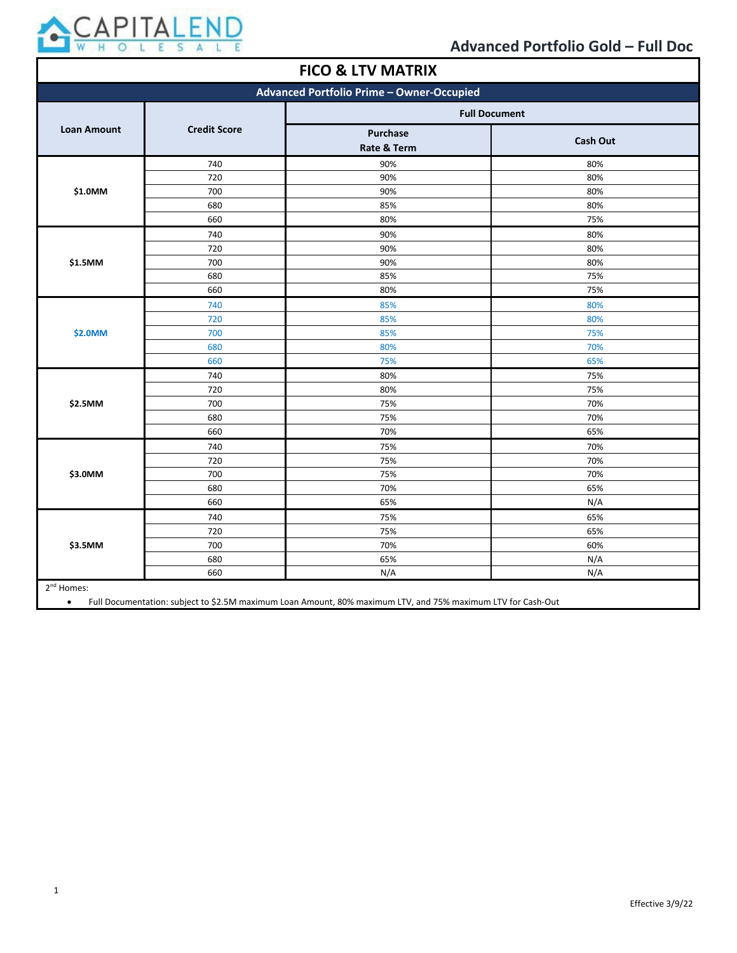

| <b>FICO &amp; LTV MATRIX</b>              |                     |                         |                 |  |
|-------------------------------------------|---------------------|-------------------------|-----------------|--|
| Advanced Portfolio Prime - Owner-Occupied |                     |                         |                 |  |
|                                           |                     | <b>Full Document</b>    |                 |  |
| <b>Loan Amount</b>                        | <b>Credit Score</b> | Purchase<br>Rate & Term | <b>Cash Out</b> |  |
|                                           | 740                 | 90%                     | 80%             |  |
|                                           | 720                 | 90%                     | 80%             |  |
| \$1.0MM                                   | 700                 | 90%                     | 80%             |  |
|                                           | 680                 | 85%                     | 80%             |  |
|                                           | 660                 | 80%                     | 75%             |  |
|                                           | 740                 | 90%                     | 80%             |  |
|                                           | 720                 | 90%                     | 80%             |  |
| \$1.5MM                                   | 700                 | 90%                     | 80%             |  |
|                                           | 680                 | 85%                     | 75%             |  |
|                                           | 660                 | 80%                     | 75%             |  |
|                                           | 740                 | 85%                     | 80%             |  |
|                                           | 720                 | 85%                     | 80%             |  |
| \$2.0MM                                   | 700                 | 85%                     | 75%             |  |
|                                           | 680                 | 80%                     | 70%             |  |
|                                           | 660                 | 75%                     | 65%             |  |
|                                           | 740                 | 80%                     | 75%             |  |
|                                           | 720                 | 80%                     | 75%             |  |
| \$2.5MM                                   | 700                 | 75%                     | 70%             |  |
|                                           | 680                 | 75%                     | 70%             |  |
|                                           | 660                 | 70%                     | 65%             |  |
|                                           | 740                 | 75%                     | 70%             |  |
|                                           | 720                 | 75%                     | 70%             |  |
| \$3.0MM                                   | 700                 | 75%                     | 70%             |  |
|                                           | 680                 | 70%                     | 65%             |  |
|                                           | 660                 | 65%                     | N/A             |  |
|                                           | 740                 | 75%                     | 65%             |  |
|                                           | 720                 | 75%                     | 65%             |  |
| \$3.5MM                                   | 700                 | 70%                     | 60%             |  |
|                                           | 680                 | 65%                     | N/A             |  |
|                                           | 660                 | N/A                     | N/A             |  |
| 2 <sup>nd</sup> Homes:                    |                     |                         |                 |  |

2<sup>nd</sup> Homes:

• Full Documentation: subject to \$2.5M maximum Loan Amount, 80% maximum LTV, and 75% maximum LTV for Cash-Out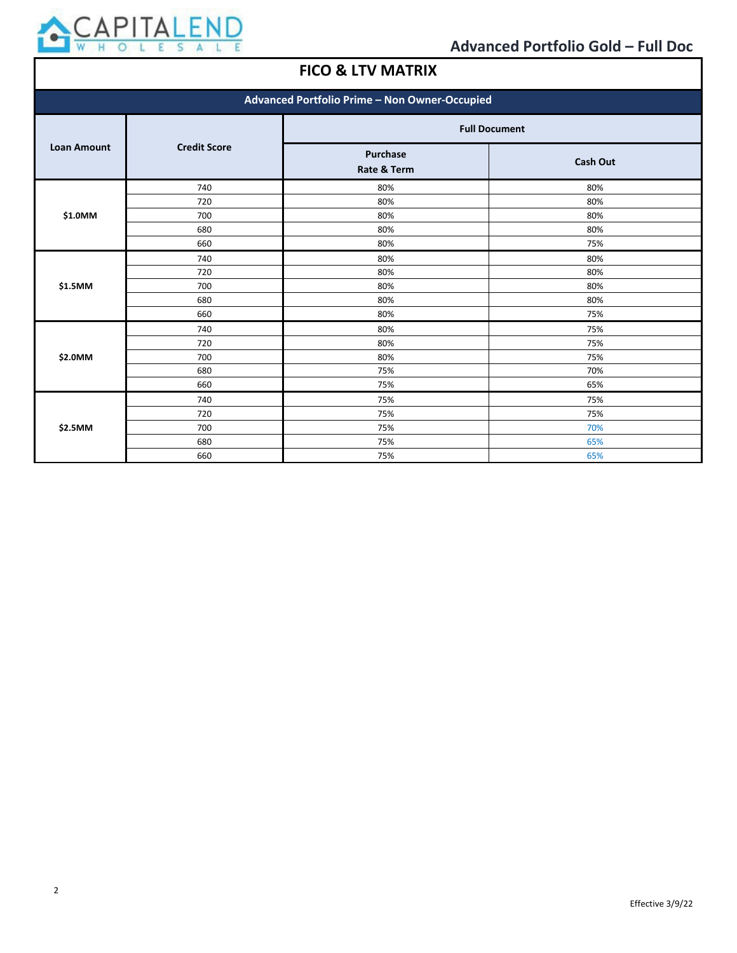

## **FICO & LTV MATRIX**

| Advanced Portfolio Prime - Non Owner-Occupied |                     |                                |                 |
|-----------------------------------------------|---------------------|--------------------------------|-----------------|
|                                               | <b>Credit Score</b> | <b>Full Document</b>           |                 |
| <b>Loan Amount</b>                            |                     | <b>Purchase</b><br>Rate & Term | <b>Cash Out</b> |
|                                               | 740                 | 80%                            | 80%             |
|                                               | 720                 | 80%                            | 80%             |
| \$1.0MM                                       | 700                 | 80%                            | 80%             |
|                                               | 680                 | 80%                            | 80%             |
|                                               | 660                 | 80%                            | 75%             |
|                                               | 740                 | 80%                            | 80%             |
|                                               | 720                 | 80%                            | 80%             |
| \$1.5MM                                       | 700                 | 80%                            | 80%             |
|                                               | 680                 | 80%                            | 80%             |
|                                               | 660                 | 80%                            | 75%             |
|                                               | 740                 | 80%                            | 75%             |
|                                               | 720                 | 80%                            | 75%             |
| \$2.0MM                                       | 700                 | 80%                            | 75%             |
|                                               | 680                 | 75%                            | 70%             |
|                                               | 660                 | 75%                            | 65%             |
| \$2.5MM                                       | 740                 | 75%                            | 75%             |
|                                               | 720                 | 75%                            | 75%             |
|                                               | 700                 | 75%                            | 70%             |
|                                               | 680                 | 75%                            | 65%             |
|                                               | 660                 | 75%                            | 65%             |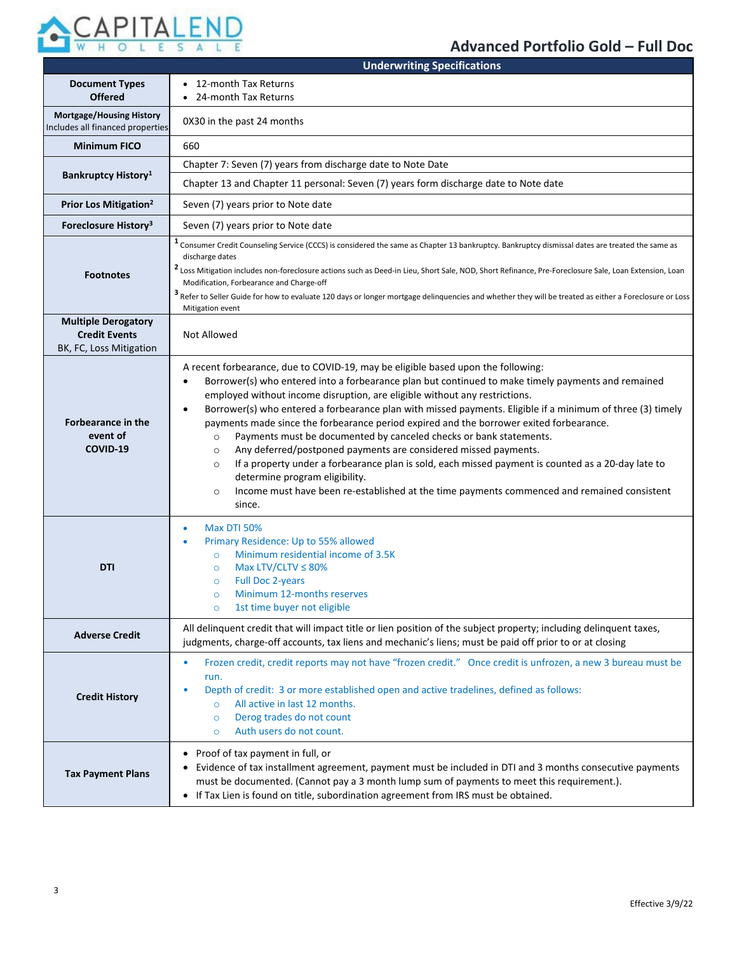

## **Advanced Portfolio Gold – Full Doc**

|                                                                               | <b>Underwriting Specifications</b>                                                                                                                                                                                                                                                                                                                                                                                                                                                                                                                                                                                                                                                                                                                                                                                                                                                                                                            |  |  |
|-------------------------------------------------------------------------------|-----------------------------------------------------------------------------------------------------------------------------------------------------------------------------------------------------------------------------------------------------------------------------------------------------------------------------------------------------------------------------------------------------------------------------------------------------------------------------------------------------------------------------------------------------------------------------------------------------------------------------------------------------------------------------------------------------------------------------------------------------------------------------------------------------------------------------------------------------------------------------------------------------------------------------------------------|--|--|
| <b>Document Types</b><br><b>Offered</b>                                       | 12-month Tax Returns<br>24-month Tax Returns                                                                                                                                                                                                                                                                                                                                                                                                                                                                                                                                                                                                                                                                                                                                                                                                                                                                                                  |  |  |
| <b>Mortgage/Housing History</b><br>Includes all financed properties           | 0X30 in the past 24 months                                                                                                                                                                                                                                                                                                                                                                                                                                                                                                                                                                                                                                                                                                                                                                                                                                                                                                                    |  |  |
| <b>Minimum FICO</b>                                                           | 660                                                                                                                                                                                                                                                                                                                                                                                                                                                                                                                                                                                                                                                                                                                                                                                                                                                                                                                                           |  |  |
|                                                                               | Chapter 7: Seven (7) years from discharge date to Note Date                                                                                                                                                                                                                                                                                                                                                                                                                                                                                                                                                                                                                                                                                                                                                                                                                                                                                   |  |  |
| <b>Bankruptcy History</b> <sup>1</sup>                                        | Chapter 13 and Chapter 11 personal: Seven (7) years form discharge date to Note date                                                                                                                                                                                                                                                                                                                                                                                                                                                                                                                                                                                                                                                                                                                                                                                                                                                          |  |  |
| Prior Los Mitigation <sup>2</sup>                                             | Seven (7) years prior to Note date                                                                                                                                                                                                                                                                                                                                                                                                                                                                                                                                                                                                                                                                                                                                                                                                                                                                                                            |  |  |
| Foreclosure History <sup>3</sup>                                              | Seven (7) years prior to Note date                                                                                                                                                                                                                                                                                                                                                                                                                                                                                                                                                                                                                                                                                                                                                                                                                                                                                                            |  |  |
| <b>Footnotes</b>                                                              | <sup>1</sup> Consumer Credit Counseling Service (CCCS) is considered the same as Chapter 13 bankruptcy. Bankruptcy dismissal dates are treated the same as<br>discharge dates<br><sup>2</sup> Loss Mitigation includes non-foreclosure actions such as Deed-in Lieu, Short Sale, NOD, Short Refinance, Pre-Foreclosure Sale, Loan Extension, Loan<br>Modification, Forbearance and Charge-off<br><sup>3</sup> Refer to Seller Guide for how to evaluate 120 days or longer mortgage delinquencies and whether they will be treated as either a Foreclosure or Loss<br>Mitigation event                                                                                                                                                                                                                                                                                                                                                        |  |  |
| <b>Multiple Derogatory</b><br><b>Credit Events</b><br>BK, FC, Loss Mitigation | Not Allowed                                                                                                                                                                                                                                                                                                                                                                                                                                                                                                                                                                                                                                                                                                                                                                                                                                                                                                                                   |  |  |
| <b>Forbearance in the</b><br>event of<br>COVID-19                             | A recent forbearance, due to COVID-19, may be eligible based upon the following:<br>Borrower(s) who entered into a forbearance plan but continued to make timely payments and remained<br>$\bullet$<br>employed without income disruption, are eligible without any restrictions.<br>Borrower(s) who entered a forbearance plan with missed payments. Eligible if a minimum of three (3) timely<br>$\bullet$<br>payments made since the forbearance period expired and the borrower exited forbearance.<br>Payments must be documented by canceled checks or bank statements.<br>$\circ$<br>Any deferred/postponed payments are considered missed payments.<br>$\circ$<br>If a property under a forbearance plan is sold, each missed payment is counted as a 20-day late to<br>$\circ$<br>determine program eligibility.<br>Income must have been re-established at the time payments commenced and remained consistent<br>$\circ$<br>since. |  |  |
| <b>DTI</b>                                                                    | <b>Max DTI 50%</b><br>$\bullet$<br>Primary Residence: Up to 55% allowed<br>$\bullet$<br>Minimum residential income of 3.5K<br>$\circ$<br>Max LTV/CLTV $\leq$ 80%<br>$\circ$<br><b>Full Doc 2-years</b><br>$\circ$<br>Minimum 12-months reserves<br>$\circ$<br>1st time buyer not eligible<br>$\circ$                                                                                                                                                                                                                                                                                                                                                                                                                                                                                                                                                                                                                                          |  |  |
| <b>Adverse Credit</b>                                                         | All delinquent credit that will impact title or lien position of the subject property; including delinquent taxes,<br>judgments, charge-off accounts, tax liens and mechanic's liens; must be paid off prior to or at closing                                                                                                                                                                                                                                                                                                                                                                                                                                                                                                                                                                                                                                                                                                                 |  |  |
| <b>Credit History</b>                                                         | Frozen credit, credit reports may not have "frozen credit." Once credit is unfrozen, a new 3 bureau must be<br>$\bullet$<br>run.<br>Depth of credit: 3 or more established open and active tradelines, defined as follows:<br>۰<br>All active in last 12 months.<br>$\circ$<br>Derog trades do not count<br>$\circ$<br>Auth users do not count.<br>$\circ$                                                                                                                                                                                                                                                                                                                                                                                                                                                                                                                                                                                    |  |  |
| <b>Tax Payment Plans</b>                                                      | • Proof of tax payment in full, or<br>• Evidence of tax installment agreement, payment must be included in DTI and 3 months consecutive payments<br>must be documented. (Cannot pay a 3 month lump sum of payments to meet this requirement.).<br>• If Tax Lien is found on title, subordination agreement from IRS must be obtained.                                                                                                                                                                                                                                                                                                                                                                                                                                                                                                                                                                                                         |  |  |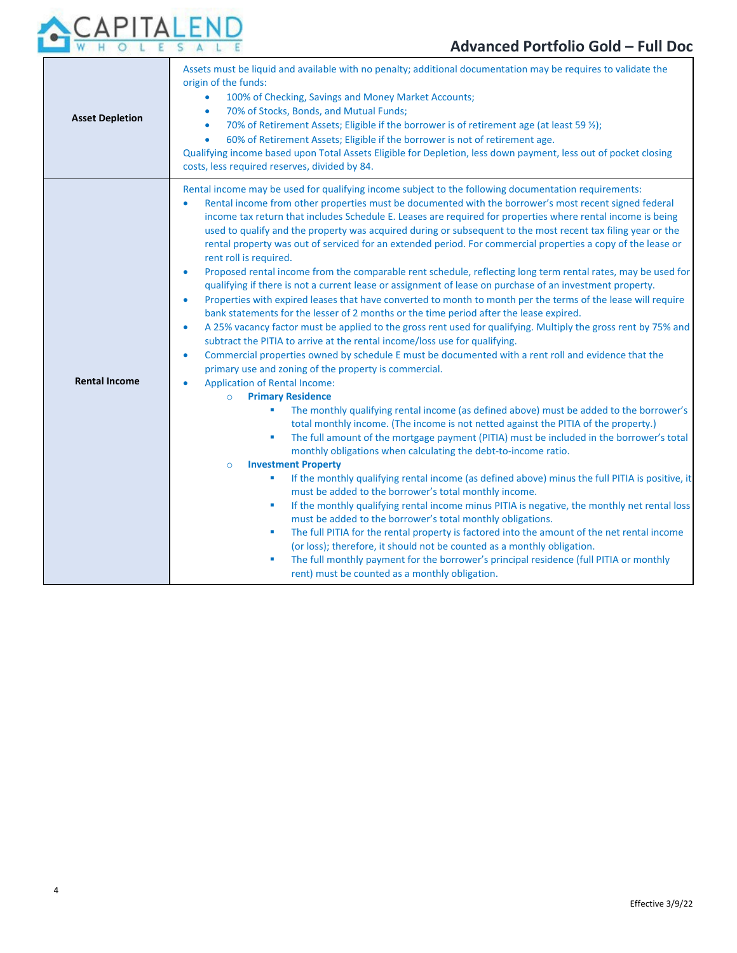

| <b>Asset Depletion</b> | Assets must be liquid and available with no penalty; additional documentation may be requires to validate the<br>origin of the funds:<br>100% of Checking, Savings and Money Market Accounts;<br>$\bullet$<br>70% of Stocks, Bonds, and Mutual Funds;<br>$\bullet$<br>70% of Retirement Assets; Eligible if the borrower is of retirement age (at least 59 $\frac{1}{2}$ );<br>$\bullet$<br>60% of Retirement Assets; Eligible if the borrower is not of retirement age.<br>$\bullet$<br>Qualifying income based upon Total Assets Eligible for Depletion, less down payment, less out of pocket closing<br>costs, less required reserves, divided by 84.                                                                                                                                                                                                                                                                                                                                                                                                                                                                                                                                                                                                                                                                                                                                                                                                                                                                                                                                                                                                                                                                                                                                                                                                                                                                                                                                                                                                                                                                                                                                                                                                                                                                                                                                                                                                                                                                                                                                    |  |  |
|------------------------|----------------------------------------------------------------------------------------------------------------------------------------------------------------------------------------------------------------------------------------------------------------------------------------------------------------------------------------------------------------------------------------------------------------------------------------------------------------------------------------------------------------------------------------------------------------------------------------------------------------------------------------------------------------------------------------------------------------------------------------------------------------------------------------------------------------------------------------------------------------------------------------------------------------------------------------------------------------------------------------------------------------------------------------------------------------------------------------------------------------------------------------------------------------------------------------------------------------------------------------------------------------------------------------------------------------------------------------------------------------------------------------------------------------------------------------------------------------------------------------------------------------------------------------------------------------------------------------------------------------------------------------------------------------------------------------------------------------------------------------------------------------------------------------------------------------------------------------------------------------------------------------------------------------------------------------------------------------------------------------------------------------------------------------------------------------------------------------------------------------------------------------------------------------------------------------------------------------------------------------------------------------------------------------------------------------------------------------------------------------------------------------------------------------------------------------------------------------------------------------------------------------------------------------------------------------------------------------------|--|--|
| <b>Rental Income</b>   | Rental income may be used for qualifying income subject to the following documentation requirements:<br>Rental income from other properties must be documented with the borrower's most recent signed federal<br>income tax return that includes Schedule E. Leases are required for properties where rental income is being<br>used to qualify and the property was acquired during or subsequent to the most recent tax filing year or the<br>rental property was out of serviced for an extended period. For commercial properties a copy of the lease or<br>rent roll is required.<br>Proposed rental income from the comparable rent schedule, reflecting long term rental rates, may be used for<br>$\bullet$<br>qualifying if there is not a current lease or assignment of lease on purchase of an investment property.<br>Properties with expired leases that have converted to month to month per the terms of the lease will require<br>$\bullet$<br>bank statements for the lesser of 2 months or the time period after the lease expired.<br>A 25% vacancy factor must be applied to the gross rent used for qualifying. Multiply the gross rent by 75% and<br>$\bullet$<br>subtract the PITIA to arrive at the rental income/loss use for qualifying.<br>Commercial properties owned by schedule E must be documented with a rent roll and evidence that the<br>$\bullet$<br>primary use and zoning of the property is commercial.<br><b>Application of Rental Income:</b><br><b>Primary Residence</b><br>$\circ$<br>The monthly qualifying rental income (as defined above) must be added to the borrower's<br>total monthly income. (The income is not netted against the PITIA of the property.)<br>The full amount of the mortgage payment (PITIA) must be included in the borrower's total<br>×<br>monthly obligations when calculating the debt-to-income ratio.<br><b>Investment Property</b><br>$\circ$<br>If the monthly qualifying rental income (as defined above) minus the full PITIA is positive, it<br>must be added to the borrower's total monthly income.<br>If the monthly qualifying rental income minus PITIA is negative, the monthly net rental loss<br>×<br>must be added to the borrower's total monthly obligations.<br>The full PITIA for the rental property is factored into the amount of the net rental income<br>×<br>(or loss); therefore, it should not be counted as a monthly obligation.<br>The full monthly payment for the borrower's principal residence (full PITIA or monthly<br>п<br>rent) must be counted as a monthly obligation. |  |  |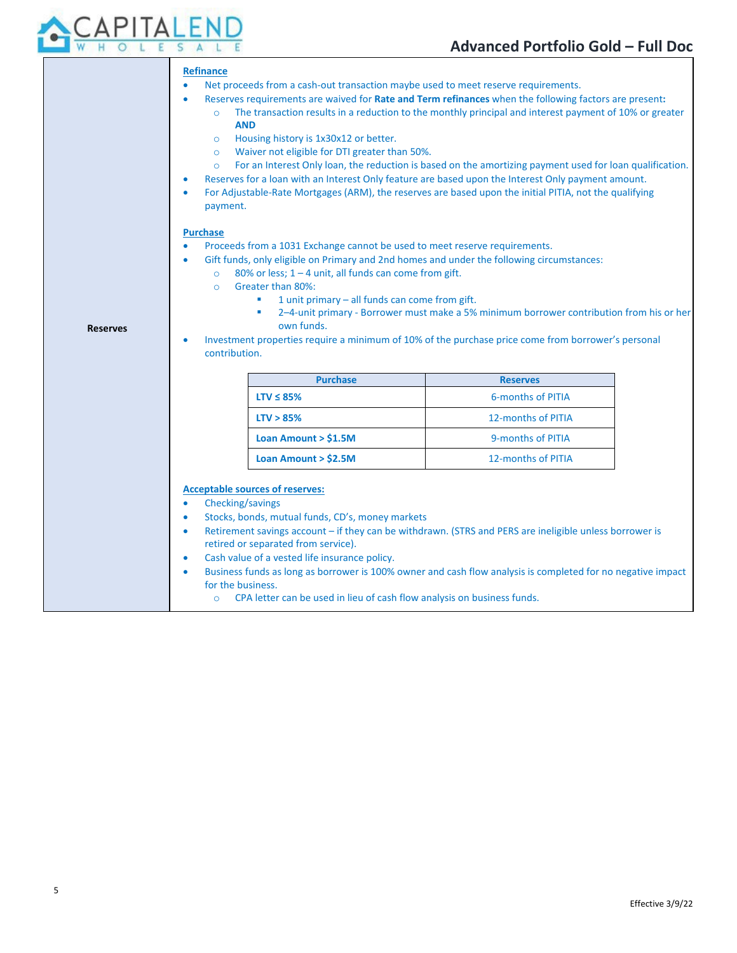

| <b>Reserves</b> | Net proceeds from a cash-out transaction maybe used to meet reserve requirements.<br>$\bullet$<br>Reserves requirements are waived for Rate and Term refinances when the following factors are present:<br>$\bullet$<br>The transaction results in a reduction to the monthly principal and interest payment of 10% or greater<br><b>AND</b><br>Housing history is 1x30x12 or better.<br>$\circ$<br>Waiver not eligible for DTI greater than 50%.<br>$\circ$<br>For an Interest Only loan, the reduction is based on the amortizing payment used for loan qualification.<br>$\circ$<br>Reserves for a loan with an Interest Only feature are based upon the Interest Only payment amount.<br>$\bullet$<br>For Adjustable-Rate Mortgages (ARM), the reserves are based upon the initial PITIA, not the qualifying<br>$\bullet$<br>payment.<br><b>Purchase</b><br>Proceeds from a 1031 Exchange cannot be used to meet reserve requirements.<br>$\bullet$<br>Gift funds, only eligible on Primary and 2nd homes and under the following circumstances:<br>$\bullet$<br>80% or less; 1 - 4 unit, all funds can come from gift.<br>$\Omega$<br>Greater than 80%:<br>$\Omega$<br>1 unit primary $-$ all funds can come from gift.<br>2-4-unit primary - Borrower must make a 5% minimum borrower contribution from his or her<br>own funds.<br>Investment properties require a minimum of 10% of the purchase price come from borrower's personal<br>$\bullet$<br>contribution. |                                                                                                                                                                                                                     |  |
|-----------------|----------------------------------------------------------------------------------------------------------------------------------------------------------------------------------------------------------------------------------------------------------------------------------------------------------------------------------------------------------------------------------------------------------------------------------------------------------------------------------------------------------------------------------------------------------------------------------------------------------------------------------------------------------------------------------------------------------------------------------------------------------------------------------------------------------------------------------------------------------------------------------------------------------------------------------------------------------------------------------------------------------------------------------------------------------------------------------------------------------------------------------------------------------------------------------------------------------------------------------------------------------------------------------------------------------------------------------------------------------------------------------------------------------------------------------------------------------------------------|---------------------------------------------------------------------------------------------------------------------------------------------------------------------------------------------------------------------|--|
|                 | <b>Purchase</b>                                                                                                                                                                                                                                                                                                                                                                                                                                                                                                                                                                                                                                                                                                                                                                                                                                                                                                                                                                                                                                                                                                                                                                                                                                                                                                                                                                                                                                                            | <b>Reserves</b>                                                                                                                                                                                                     |  |
|                 | $LTV \leq 85\%$                                                                                                                                                                                                                                                                                                                                                                                                                                                                                                                                                                                                                                                                                                                                                                                                                                                                                                                                                                                                                                                                                                                                                                                                                                                                                                                                                                                                                                                            | <b>6-months of PITIA</b>                                                                                                                                                                                            |  |
|                 | LTV > 85%                                                                                                                                                                                                                                                                                                                                                                                                                                                                                                                                                                                                                                                                                                                                                                                                                                                                                                                                                                                                                                                                                                                                                                                                                                                                                                                                                                                                                                                                  | 12-months of PITIA                                                                                                                                                                                                  |  |
|                 | Loan Amount > \$1.5M                                                                                                                                                                                                                                                                                                                                                                                                                                                                                                                                                                                                                                                                                                                                                                                                                                                                                                                                                                                                                                                                                                                                                                                                                                                                                                                                                                                                                                                       | 9-months of PITIA                                                                                                                                                                                                   |  |
|                 | Loan Amount $>$ \$2.5M                                                                                                                                                                                                                                                                                                                                                                                                                                                                                                                                                                                                                                                                                                                                                                                                                                                                                                                                                                                                                                                                                                                                                                                                                                                                                                                                                                                                                                                     | 12-months of PITIA                                                                                                                                                                                                  |  |
|                 | <b>Acceptable sources of reserves:</b><br>Checking/savings<br>$\bullet$<br>Stocks, bonds, mutual funds, CD's, money markets<br>$\bullet$<br>$\bullet$<br>retired or separated from service).<br>Cash value of a vested life insurance policy.<br>$\bullet$                                                                                                                                                                                                                                                                                                                                                                                                                                                                                                                                                                                                                                                                                                                                                                                                                                                                                                                                                                                                                                                                                                                                                                                                                 | Retirement savings account - if they can be withdrawn. (STRS and PERS are ineligible unless borrower is<br>Business funds on Jones on Johnsons in 1,000 punctional and afformately in consulated for no magnitud in |  |

- Business funds as long as borrower is 100% owner and cash flow analysis is completed for no negative impact for the business.
	- o CPA letter can be used in lieu of cash flow analysis on business funds.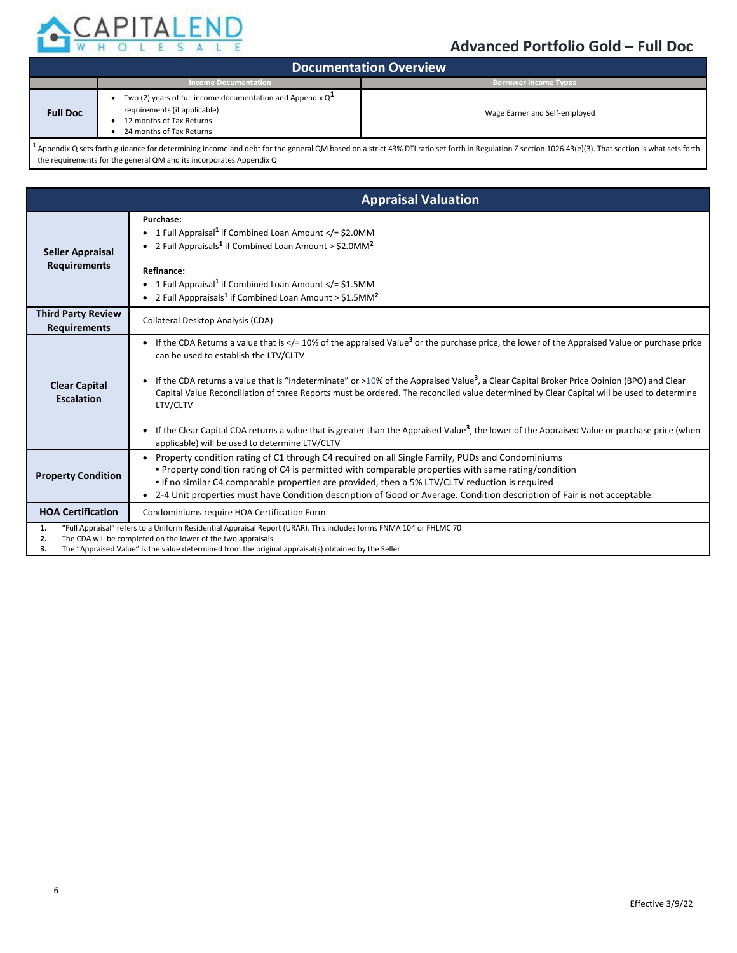

| <b>Documentation Overview</b> |                                                                                                                                                             |                               |  |
|-------------------------------|-------------------------------------------------------------------------------------------------------------------------------------------------------------|-------------------------------|--|
|                               | <b>Income Documentation</b>                                                                                                                                 | <b>Borrower Income Types</b>  |  |
| <b>Full Doc</b>               | Two (2) years of full income documentation and Appendix $Q^{\perp}$<br>requirements (if applicable)<br>12 months of Tax Returns<br>24 months of Tax Returns | Wage Earner and Self-employed |  |
|                               |                                                                                                                                                             |                               |  |

**<sup>1</sup>** Appendix Q sets forth guidance for determining income and debt for the general QM based on a strict 43% DTI ratio set forth in Regulation Z section 1026.43(e)(3). That section is what sets forth the requirements for the general QM and its incorporates Appendix Q

|                                                  | <b>Appraisal Valuation</b>                                                                                                                                                                                                                                                                                                                                                                                                                                                                                                                                                                                                                                                                                                             |  |  |
|--------------------------------------------------|----------------------------------------------------------------------------------------------------------------------------------------------------------------------------------------------------------------------------------------------------------------------------------------------------------------------------------------------------------------------------------------------------------------------------------------------------------------------------------------------------------------------------------------------------------------------------------------------------------------------------------------------------------------------------------------------------------------------------------------|--|--|
| Seller Appraisal<br><b>Requirements</b>          | Purchase:<br>• 1 Full Appraisal <sup>1</sup> if Combined Loan Amount = \$2.0MM<br • 2 Full Appraisals <sup>1</sup> if Combined Loan Amount > $$2.0MM2$<br>Refinance:<br>• 1 Full Appraisal <sup>1</sup> if Combined Loan Amount < $/$ = \$1.5MM<br>• 2 Full Apppraisals <sup>1</sup> if Combined Loan Amount > $$1.5$ MM <sup>2</sup>                                                                                                                                                                                                                                                                                                                                                                                                  |  |  |
| <b>Third Party Review</b><br><b>Requirements</b> | Collateral Desktop Analysis (CDA)                                                                                                                                                                                                                                                                                                                                                                                                                                                                                                                                                                                                                                                                                                      |  |  |
| <b>Clear Capital</b><br><b>Escalation</b>        | If the CDA Returns a value that is $\lt/=10\%$ of the appraised Value <sup>3</sup> or the purchase price, the lower of the Appraised Value or purchase price<br>can be used to establish the LTV/CLTV<br>If the CDA returns a value that is "indeterminate" or >10% of the Appraised Value <sup>3</sup> , a Clear Capital Broker Price Opinion (BPO) and Clear<br>Capital Value Reconciliation of three Reports must be ordered. The reconciled value determined by Clear Capital will be used to determine<br>LTV/CLTV<br>If the Clear Capital CDA returns a value that is greater than the Appraised Value <sup>3</sup> , the lower of the Appraised Value or purchase price (when<br>applicable) will be used to determine LTV/CLTV |  |  |
| <b>Property Condition</b>                        | • Property condition rating of C1 through C4 required on all Single Family, PUDs and Condominiums<br>. Property condition rating of C4 is permitted with comparable properties with same rating/condition<br>If no similar C4 comparable properties are provided, then a 5% LTV/CLTV reduction is required<br>• 2-4 Unit properties must have Condition description of Good or Average. Condition description of Fair is not acceptable.                                                                                                                                                                                                                                                                                               |  |  |
| <b>HOA Certification</b>                         | Condominiums require HOA Certification Form                                                                                                                                                                                                                                                                                                                                                                                                                                                                                                                                                                                                                                                                                            |  |  |
| 1.<br>2.<br>з.                                   | "Full Appraisal" refers to a Uniform Residential Appraisal Report (URAR). This includes forms FNMA 104 or FHLMC 70<br>The CDA will be completed on the lower of the two appraisals<br>The "Appraised Value" is the value determined from the original appraisal(s) obtained by the Seller                                                                                                                                                                                                                                                                                                                                                                                                                                              |  |  |